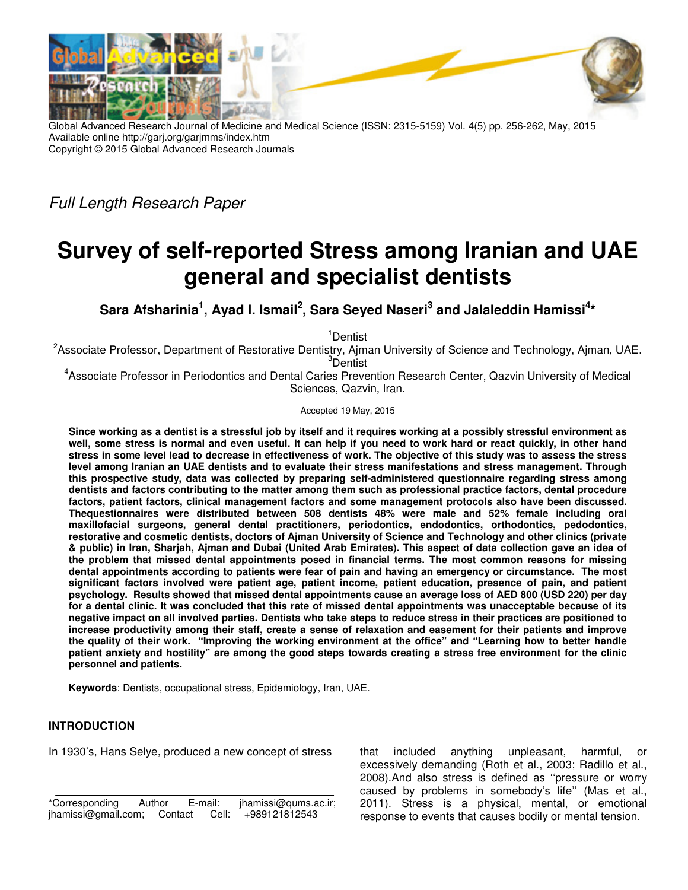

Global Advanced Research Journal of Medicine and Medical Science (ISSN: 2315-5159) Vol. 4(5) pp. 256-262, May, 2015 Available online http://garj.org/garjmms/index.htm Copyright © 2015 Global Advanced Research Journals

Full Length Research Paper

# **Survey of self-reported Stress among Iranian and UAE general and specialist dentists**

**Sara Afsharinia<sup>1</sup> , Ayad I. Ismail<sup>2</sup> , Sara Seyed Naseri<sup>3</sup> and Jalaleddin Hamissi \*<sup>4</sup>**

<sup>1</sup>Dentist

<sup>2</sup>Associate Professor, Department of Restorative Dentistry, Ajman University of Science and Technology, Ajman, UAE. <sup>3</sup>Dentist

4 Associate Professor in Periodontics and Dental Caries Prevention Research Center, Qazvin University of Medical Sciences, Qazvin, Iran.

Accepted 19 May, 2015

**Since working as a dentist is a stressful job by itself and it requires working at a possibly stressful environment as well, some stress is normal and even useful. It can help if you need to work hard or react quickly, in other hand stress in some level lead to decrease in effectiveness of work. The objective of this study was to assess the stress level among Iranian an UAE dentists and to evaluate their stress manifestations and stress management. Through this prospective study, data was collected by preparing self-administered questionnaire regarding stress among dentists and factors contributing to the matter among them such as professional practice factors, dental procedure factors, patient factors, clinical management factors and some management protocols also have been discussed. Thequestionnaires were distributed between 508 dentists 48% were male and 52% female including oral maxillofacial surgeons, general dental practitioners, periodontics, endodontics, orthodontics, pedodontics, restorative and cosmetic dentists, doctors of Ajman University of Science and Technology and other clinics (private & public) in Iran, Sharjah, Ajman and Dubai (United Arab Emirates). This aspect of data collection gave an idea of the problem that missed dental appointments posed in financial terms. The most common reasons for missing dental appointments according to patients were fear of pain and having an emergency or circumstance. The most significant factors involved were patient age, patient income, patient education, presence of pain, and patient psychology. Results showed that missed dental appointments cause an average loss of AED 800 (USD 220) per day for a dental clinic. It was concluded that this rate of missed dental appointments was unacceptable because of its negative impact on all involved parties. Dentists who take steps to reduce stress in their practices are positioned to increase productivity among their staff, create a sense of relaxation and easement for their patients and improve the quality of their work. "Improving the working environment at the office" and "Learning how to better handle patient anxiety and hostility" are among the good steps towards creating a stress free environment for the clinic personnel and patients.** 

**Keywords**: Dentists, occupational stress, Epidemiology, Iran, UAE.

# **INTRODUCTION**

In 1930's, Hans Selye, produced a new concept of stress

that included anything unpleasant, harmful, or excessively demanding (Roth et al., 2003; Radillo et al., 2008).And also stress is defined as ''pressure or worry caused by problems in somebody's life'' (Mas et al., 2011). Stress is a physical, mental, or emotional response to events that causes bodily or mental tension.

<sup>\*</sup>Corresponding Author E-mail: jhamissi@qums.ac.ir; jhamissi@gmail.com; Contact Cell: +989121812543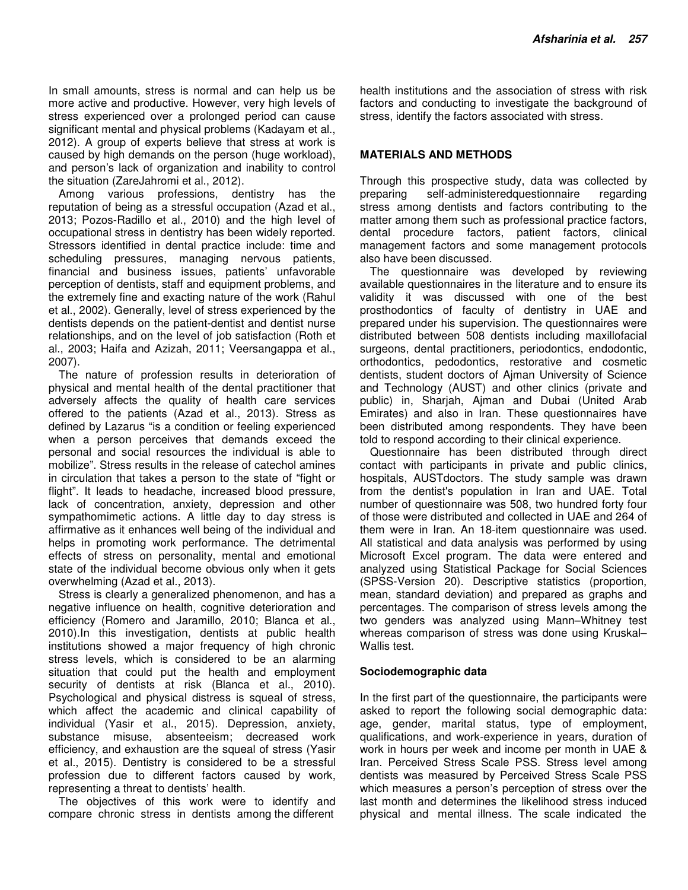In small amounts, stress is normal and can help us be more active and productive. However, very high levels of stress experienced over a prolonged period can cause significant mental and physical problems (Kadayam et al., 2012). A group of experts believe that stress at work is caused by high demands on the person (huge workload), and person's lack of organization and inability to control the situation (ZareJahromi et al., 2012).

Among various professions, dentistry has the reputation of being as a stressful occupation (Azad et al., 2013; Pozos-Radillo et al., 2010) and the high level of occupational stress in dentistry has been widely reported. Stressors identified in dental practice include: time and scheduling pressures, managing nervous patients, financial and business issues, patients' unfavorable perception of dentists, staff and equipment problems, and the extremely fine and exacting nature of the work (Rahul et al., 2002). Generally, level of stress experienced by the dentists depends on the patient-dentist and dentist nurse relationships, and on the level of job satisfaction (Roth et al., 2003; Haifa and Azizah, 2011; Veersangappa et al., 2007).

The nature of profession results in deterioration of physical and mental health of the dental practitioner that adversely affects the quality of health care services offered to the patients (Azad et al., 2013). Stress as defined by Lazarus "is a condition or feeling experienced when a person perceives that demands exceed the personal and social resources the individual is able to mobilize". Stress results in the release of catechol amines in circulation that takes a person to the state of "fight or flight". It leads to headache, increased blood pressure, lack of concentration, anxiety, depression and other sympathomimetic actions. A little day to day stress is affirmative as it enhances well being of the individual and helps in promoting work performance. The detrimental effects of stress on personality, mental and emotional state of the individual become obvious only when it gets overwhelming (Azad et al., 2013).

Stress is clearly a generalized phenomenon, and has a negative influence on health, cognitive deterioration and efficiency (Romero and Jaramillo, 2010; Blanca et al., 2010).In this investigation, dentists at public health institutions showed a major frequency of high chronic stress levels, which is considered to be an alarming situation that could put the health and employment security of dentists at risk (Blanca et al., 2010). Psychological and physical distress is squeal of stress, which affect the academic and clinical capability of individual (Yasir et al., 2015). Depression, anxiety, substance misuse, absenteeism; decreased work efficiency, and exhaustion are the squeal of stress (Yasir et al., 2015). Dentistry is considered to be a stressful profession due to different factors caused by work, representing a threat to dentists' health.

The objectives of this work were to identify and compare chronic stress in dentists among the different

health institutions and the association of stress with risk factors and conducting to investigate the background of stress, identify the factors associated with stress.

# **MATERIALS AND METHODS**

Through this prospective study, data was collected by preparing self-administeredquestionnaire regarding stress among dentists and factors contributing to the matter among them such as professional practice factors, dental procedure factors, patient factors, clinical management factors and some management protocols also have been discussed.

The questionnaire was developed by reviewing available questionnaires in the literature and to ensure its validity it was discussed with one of the best prosthodontics of faculty of dentistry in UAE and prepared under his supervision. The questionnaires were distributed between 508 dentists including maxillofacial surgeons, dental practitioners, periodontics, endodontic, orthodontics, pedodontics, restorative and cosmetic dentists, student doctors of Ajman University of Science and Technology (AUST) and other clinics (private and public) in, Sharjah, Ajman and Dubai (United Arab Emirates) and also in Iran. These questionnaires have been distributed among respondents. They have been told to respond according to their clinical experience.

Questionnaire has been distributed through direct contact with participants in private and public clinics, hospitals, AUSTdoctors. The study sample was drawn from the dentist's population in Iran and UAE. Total number of questionnaire was 508, two hundred forty four of those were distributed and collected in UAE and 264 of them were in Iran. An 18-item questionnaire was used. All statistical and data analysis was performed by using Microsoft Excel program. The data were entered and analyzed using Statistical Package for Social Sciences (SPSS-Version 20). Descriptive statistics (proportion, mean, standard deviation) and prepared as graphs and percentages. The comparison of stress levels among the two genders was analyzed using Mann–Whitney test whereas comparison of stress was done using Kruskal– Wallis test.

### **Sociodemographic data**

In the first part of the questionnaire, the participants were asked to report the following social demographic data: age, gender, marital status, type of employment, qualifications, and work-experience in years, duration of work in hours per week and income per month in UAE & Iran. Perceived Stress Scale PSS. Stress level among dentists was measured by Perceived Stress Scale PSS which measures a person's perception of stress over the last month and determines the likelihood stress induced physical and mental illness. The scale indicated the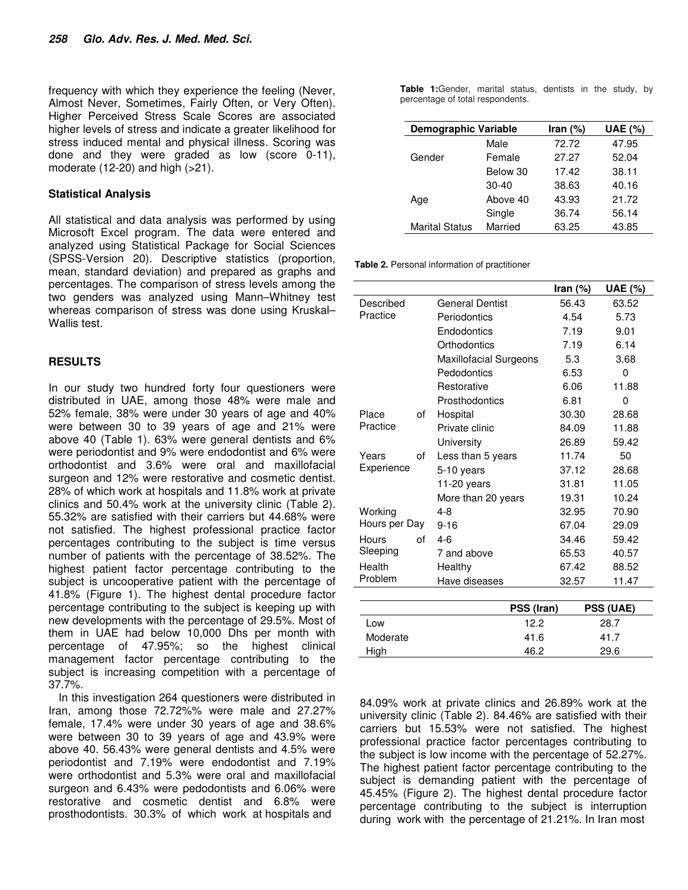frequency with which they experience the feeling (Never, Almost Never, Sometimes, Fairly Often, or Very Often). Higher Perceived Stress Scale Scores are associated higher levels of stress and indicate a greater likelihood for stress induced mental and physical illness. Scoring was done and they were graded as low (score 0-11), moderate  $(12-20)$  and high  $(>21)$ .

#### **Statistical Analysis**

All statistical and data analysis was performed by using Microsoft Excel program. The data were entered and analyzed using Statistical Package for Social Sciences (SPSS-Version 20). Descriptive statistics (proportion, mean, standard deviation) and prepared as graphs and percentages. The comparison of stress levels among the two genders was analyzed using Mann–Whitney test whereas comparison of stress was done using Kruskal– Wallis test.

### **RESULTS**

In our study two hundred forty four questioners were distributed in UAE, among those 48% were male and 52% female, 38% were under 30 years of age and 40% were between 30 to 39 years of age and 21% were above 40 (Table 1). 63% were general dentists and 6% were periodontist and 9% were endodontist and 6% were orthodontist and 3.6% were oral and maxillofacial surgeon and 12% were restorative and cosmetic dentist. 28% of which work at hospitals and 11.8% work at private clinics and 50.4% work at the university clinic (Table 2). 55.32% are satisfied with their carriers but 44.68% were not satisfied. The highest professional practice factor percentages contributing to the subject is time versus number of patients with the percentage of 38.52%. The highest patient factor percentage contributing to the subject is uncooperative patient with the percentage of 41.8% (Figure 1). The highest dental procedure factor percentage contributing to the subject is keeping up with new developments with the percentage of 29.5%. Most of them in UAE had below 10,000 Dhs per month with percentage of 47.95%; so the highest clinical management factor percentage contributing to the subject is increasing competition with a percentage of 37.7%.

In this investigation 264 questioners were distributed in Iran, among those 72.72%% were male and 27.27% female, 17.4% were under 30 years of age and 38.6% were between 30 to 39 years of age and 43.9% were above 40. 56.43% were general dentists and 4.5% were periodontist and 7.19% were endodontist and 7.19% were orthodontist and 5.3% were oral and maxillofacial surgeon and 6.43% were pedodontists and 6.06% were restorative and cosmetic dentist and 6.8% were prosthodontists. 30.3% of which work at hospitals and

**Table 1:**Gender, marital status, dentists in the study, by percentage of total respondents.

| <b>Demographic Variable</b> |          | Iran $(\%)$ | <b>UAE</b> (%) |
|-----------------------------|----------|-------------|----------------|
| Gender                      | Male     | 72.72       | 47.95          |
|                             | Female   | 27.27       | 52.04          |
|                             | Below 30 | 17.42       | 38.11          |
| Age                         | $30-40$  | 38.63       | 40.16          |
|                             | Above 40 | 43.93       | 21.72          |
|                             | Single   | 36.74       | 56.14          |
| <b>Marital Status</b>       | Married  | 63.25       | 43.85          |

**Table 2.** Personal information of practitioner

|               |                               | Iran $(\%)$      | <b>UAE (%)</b> |
|---------------|-------------------------------|------------------|----------------|
| Described     | <b>General Dentist</b>        | 56.43            | 63.52          |
| Practice      | Periodontics                  | 4.54             | 5.73           |
|               | Endodontics                   | 7.19             | 9.01           |
|               | Orthodontics                  | 7.19             | 6.14           |
|               | <b>Maxillofacial Surgeons</b> | 5.3              | 3.68           |
|               | Pedodontics                   | 6.53             | 0              |
|               | Restorative                   | 6.06             | 11.88          |
|               | Prosthodontics                | 6.81             | 0              |
| Place<br>οf   | Hospital                      | 30.30            | 28.68          |
| Practice      | Private clinic                | 84.09            | 11.88          |
|               | University                    | 26.89            | 59.42          |
| Years<br>οf   | Less than 5 years             | 11.74            | 50             |
| Experience    | 5-10 years                    | 37.12            | 28.68          |
|               | 11-20 years                   | 31.81            | 11.05          |
|               | More than 20 years            | 19.31            | 10.24          |
| Working       | 4-8                           | 32.95            | 70.90          |
| Hours per Day | $9 - 16$                      | 67.04            | 29.09          |
| Hours<br>οf   | $4 - 6$                       | 34.46            | 59.42          |
| Sleeping      | 7 and above                   | 65.53            | 40.57          |
| Health        | Healthy                       | 67.42            | 88.52          |
| Problem       | Have diseases                 | 32.57            | 11.47          |
|               |                               |                  |                |
|               | PSS (Iran)                    | <b>PSS (UAE)</b> |                |
| Low           | 12.2                          | 28.7             |                |
| Moderate      | 41.6                          | 41.7             |                |
| High          | 46.2                          |                  | 29.6           |

84.09% work at private clinics and 26.89% work at the university clinic (Table 2). 84.46% are satisfied with their carriers but 15.53% were not satisfied. The highest professional practice factor percentages contributing to the subject is low income with the percentage of 52.27%. The highest patient factor percentage contributing to the subject is demanding patient with the percentage of 45.45% (Figure 2). The highest dental procedure factor percentage contributing to the subject is interruption during work with the percentage of 21.21%. In Iran most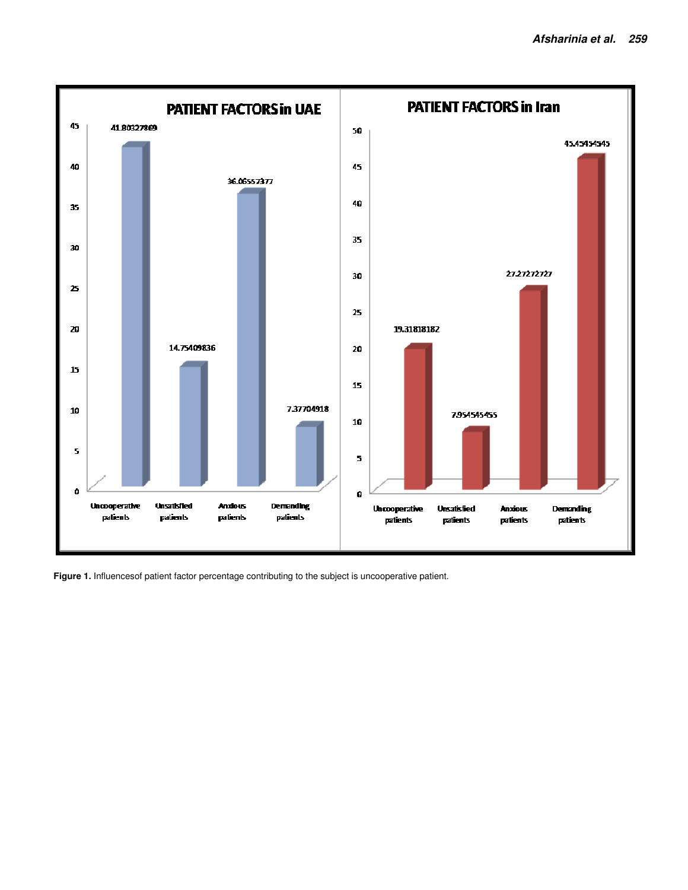

Figure 1. Influencesof patient factor percentage contributing to the subject is uncooperative patient.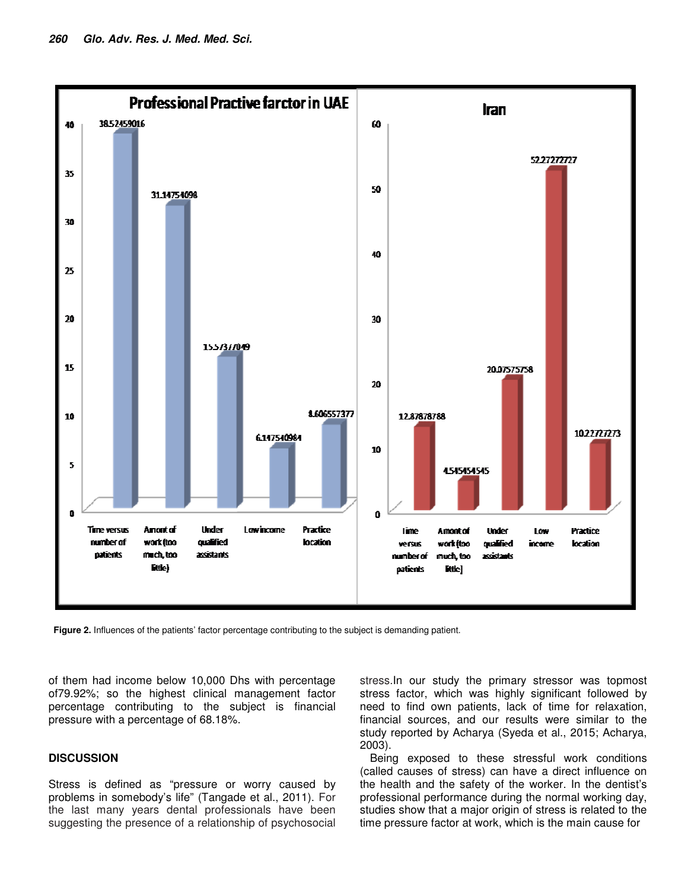

**Figure 2.** Influences of the patients' factor percentage contributing to the subject is demanding patient.

of them had income below 10,000 Dhs with percentage of79.92%; so the highest clinical management factor percentage contributing to the subject is financial pressure with a percentage of 68.18%.

## **DISCUSSION**

Stress is defined as "pressure or worry caused by problems in somebody's life" (Tangade et al., 2011). For the last many years dental professionals have been suggesting the presence of a relationship of psychosocial stress.In our study the primary stressor was topmost stress factor, which was highly significant followed by need to find own patients, lack of time for relaxation, financial sources, and our results were similar to the study reported by Acharya (Syeda et al., 2015; Acharya, 2003).

Being exposed to these stressful work conditions (called causes of stress) can have a direct influence on the health and the safety of the worker. In the dentist's professional performance during the normal working day, studies show that a major origin of stress is related to the time pressure factor at work, which is the main cause for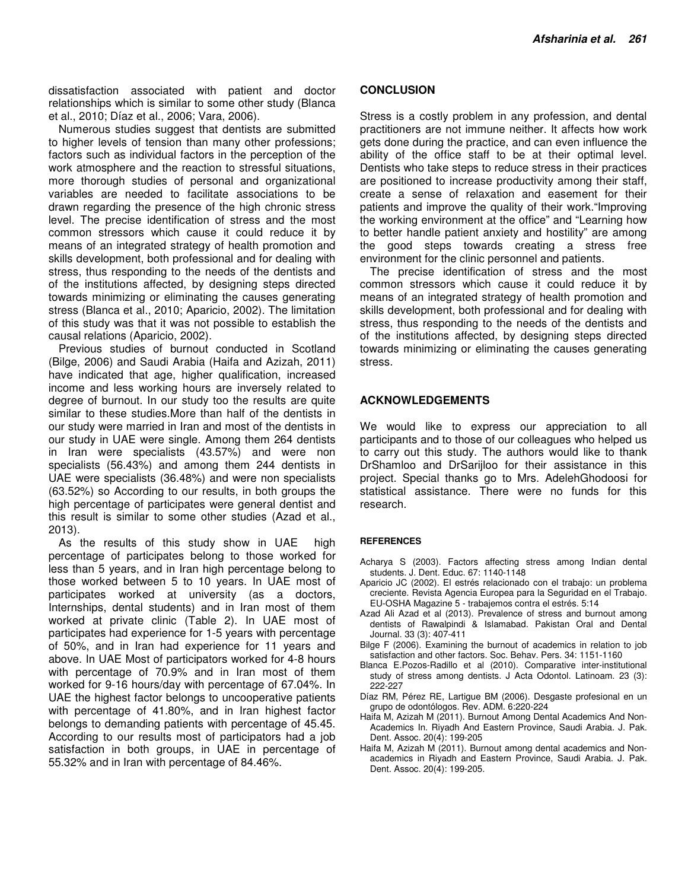dissatisfaction associated with patient and doctor relationships which is similar to some other study (Blanca et al., 2010; Díaz et al., 2006; Vara, 2006).

Numerous studies suggest that dentists are submitted to higher levels of tension than many other professions; factors such as individual factors in the perception of the work atmosphere and the reaction to stressful situations, more thorough studies of personal and organizational variables are needed to facilitate associations to be drawn regarding the presence of the high chronic stress level. The precise identification of stress and the most common stressors which cause it could reduce it by means of an integrated strategy of health promotion and skills development, both professional and for dealing with stress, thus responding to the needs of the dentists and of the institutions affected, by designing steps directed towards minimizing or eliminating the causes generating stress (Blanca et al., 2010; Aparicio, 2002). The limitation of this study was that it was not possible to establish the causal relations (Aparicio, 2002).

Previous studies of burnout conducted in Scotland (Bilge, 2006) and Saudi Arabia (Haifa and Azizah, 2011) have indicated that age, higher qualification, increased income and less working hours are inversely related to degree of burnout. In our study too the results are quite similar to these studies.More than half of the dentists in our study were married in Iran and most of the dentists in our study in UAE were single. Among them 264 dentists in Iran were specialists (43.57%) and were non specialists (56.43%) and among them 244 dentists in UAE were specialists (36.48%) and were non specialists (63.52%) so According to our results, in both groups the high percentage of participates were general dentist and this result is similar to some other studies (Azad et al., 2013).

As the results of this study show in UAE high percentage of participates belong to those worked for less than 5 years, and in Iran high percentage belong to those worked between 5 to 10 years. In UAE most of participates worked at university (as a doctors, Internships, dental students) and in Iran most of them worked at private clinic (Table 2). In UAE most of participates had experience for 1-5 years with percentage of 50%, and in Iran had experience for 11 years and above. In UAE Most of participators worked for 4-8 hours with percentage of 70.9% and in Iran most of them worked for 9-16 hours/day with percentage of 67.04%. In UAE the highest factor belongs to uncooperative patients with percentage of 41.80%, and in Iran highest factor belongs to demanding patients with percentage of 45.45. According to our results most of participators had a job satisfaction in both groups, in UAE in percentage of 55.32% and in Iran with percentage of 84.46%.

#### **CONCLUSION**

Stress is a costly problem in any profession, and dental practitioners are not immune neither. It affects how work gets done during the practice, and can even influence the ability of the office staff to be at their optimal level. Dentists who take steps to reduce stress in their practices are positioned to increase productivity among their staff, create a sense of relaxation and easement for their patients and improve the quality of their work."Improving the working environment at the office" and "Learning how to better handle patient anxiety and hostility" are among the good steps towards creating a stress free environment for the clinic personnel and patients.

The precise identification of stress and the most common stressors which cause it could reduce it by means of an integrated strategy of health promotion and skills development, both professional and for dealing with stress, thus responding to the needs of the dentists and of the institutions affected, by designing steps directed towards minimizing or eliminating the causes generating stress.

#### **ACKNOWLEDGEMENTS**

We would like to express our appreciation to all participants and to those of our colleagues who helped us to carry out this study. The authors would like to thank DrShamloo and DrSarijloo for their assistance in this project. Special thanks go to Mrs. AdelehGhodoosi for statistical assistance. There were no funds for this research.

#### **REFERENCES**

- Acharya S (2003). Factors affecting stress among Indian dental students. J. Dent. Educ. 67: 1140-1148
- Aparicio JC (2002). El estrés relacionado con el trabajo: un problema creciente. Revista Agencia Europea para la Seguridad en el Trabajo. EU-OSHA Magazine 5 - trabajemos contra el estrés. 5:14
- Azad Ali Azad et al (2013). Prevalence of stress and burnout among dentists of Rawalpindi & Islamabad. Pakistan Oral and Dental Journal. 33 (3): 407-411
- Bilge F (2006). Examining the burnout of academics in relation to job satisfaction and other factors. Soc. Behav. Pers. 34: 1151-1160
- Blanca E.Pozos-Radillo et al (2010). Comparative inter-institutional study of stress among dentists. J Acta Odontol. Latinoam. 23 (3): 222-227
- Díaz RM, Pérez RE, Lartigue BM (2006). Desgaste profesional en un grupo de odontólogos. Rev. ADM. 6:220-224
- Haifa M, Azizah M (2011). Burnout Among Dental Academics And Non-Academics In. Riyadh And Eastern Province, Saudi Arabia. J. Pak. Dent. Assoc. 20(4): 199-205
- Haifa M, Azizah M (2011). Burnout among dental academics and Nonacademics in Riyadh and Eastern Province, Saudi Arabia. J. Pak. Dent. Assoc. 20(4): 199-205.